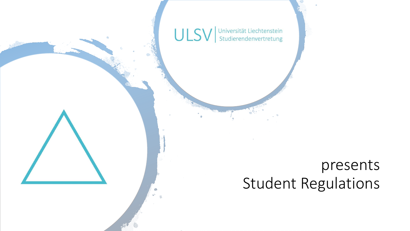

### presents Student Regulations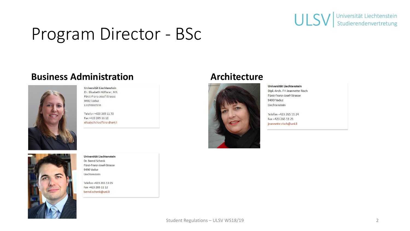

### Program Director - BSc

#### **Business Administration Architecture**



Universität Liechtenstein Dr. Elisabeth Höfferer, MA Fürst-Franz-Josef-Strasse 9490 Vaduz Liechtenstein

Telefon +423 265 11 72 Fax +423 265 11 12 elisabeth.hoefferer@uni.li



Universität Liechtenstein Dr. Bernd Schenk Fürst-Franz-Josef-Strasse 9490 Vaduz Liechtenstein

Telefon +423 265 13 05 Fax +423 265 11 12 bernd.schenk@uni.li



Universität Liechtenstein Dipl.-Arch. FH Jeannette Risch Fürst-Franz-Josef-Strasse 9490 Vaduz Liechtenstein

Telefon +423 265 11 24 Fax +423 265 11 21 jeannette.risch@uni.li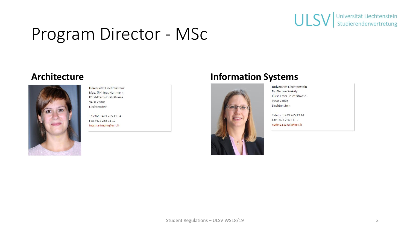

### Program Director - MSc



Universität Liechtenstein Mag. (FH) Ines Hartmann Fürst-Franz-Josef-Strasse 9490 Vaduz Liechtenstein

Telefon +423 265 11 34 Fax +423 265 11 12 ines.hartmann@uni.li

#### **Architecture Information Systems**



Universität Liechtenstein Dr. Nadine Székely Fürst-Franz-Josef-Strasse 9490 Vaduz Liechtenstein

Telefon +423 265 13 14 Fax +423 265 11 12 nadine.szekely@uni.li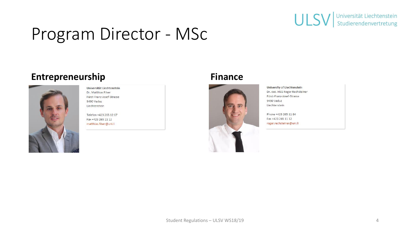

### Program Director - MSc

#### **Entrepreneurship Finance**



Universität Liechtenstein Dr. Matthias Filser Fürst-Franz-Josef-Strasse 9490 Vaduz Liechtenstein

Telefon +423 265 12 67 Fax +423 265 11 12 matthias.filser@uni.li





**University of Liechtenstein** Dr. oec. HSG Roger Rechsteiner Fürst-Franz-Josef-Strasse 9490 Vaduz Liechtenstein

Phone +423 265 11 84 Fax +423 265 11 12 roger.rechsteiner@uni.li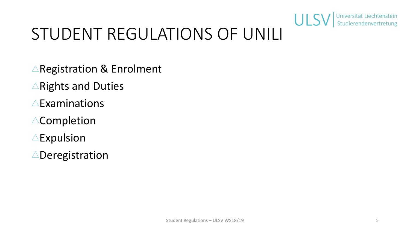

### STUDENT REGULATIONS OF UNILI

- $\triangle$ Registration & Enrolment
- $\triangle$ Rights and Duties
- $\triangle$ Examinations
- $\triangle$ Completion
- $\triangle$ Expulsion
- $\triangle$ Deregistration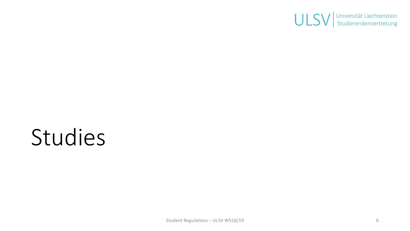

## Studies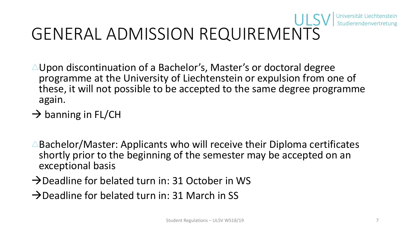# GENERAL ADMISSION REQUIREMENTS

- $\triangle$ Upon discontinuation of a Bachelor's, Master's or doctoral degree programme at the University of Liechtenstein or expulsion from one of these, it will not possible to be accepted to the same degree programme again.
- $\rightarrow$  banning in FL/CH
- $\triangle$ Bachelor/Master: Applicants who will receive their Diploma certificates shortly prior to the beginning of the semester may be accepted on an exceptional basis
- $\rightarrow$  Deadline for belated turn in: 31 October in WS
- $\rightarrow$  Deadline for belated turn in: 31 March in SS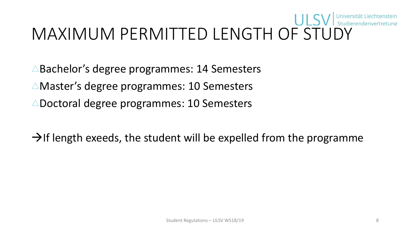# MAXIMUM PERMITTED LENGTH OF STUDY

- $\triangle$ Bachelor's degree programmes: 14 Semesters
- $\triangle$ Master's degree programmes: 10 Semesters
- $\triangle$ Doctoral degree programmes: 10 Semesters
- $\rightarrow$ If length exeeds, the student will be expelled from the programme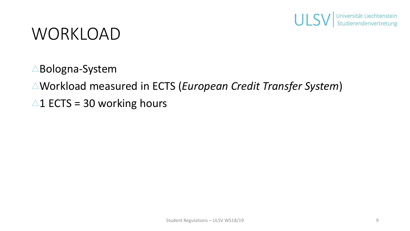

### WORKLOAD

- $\triangle$ Bologna-System
- Workload measured in ECTS (*European Credit Transfer System*)
- $\triangle$ 1 ECTS = 30 working hours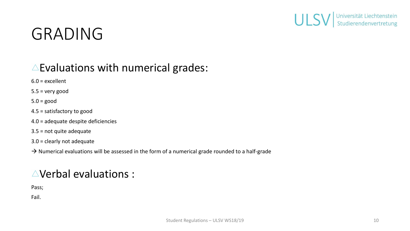

### GRADING

### $\triangle$  Evaluations with numerical grades:

6.0 = excellent

 $5.5$  = very good

 $5.0 = good$ 

4.5 = satisfactory to good

4.0 = adequate despite deficiencies

3.5 = not quite adequate

3.0 = clearly not adequate

 $\rightarrow$  Numerical evaluations will be assessed in the form of a numerical grade rounded to a half-grade

### $\triangle$ Verbal evaluations :

Pass;

Fail.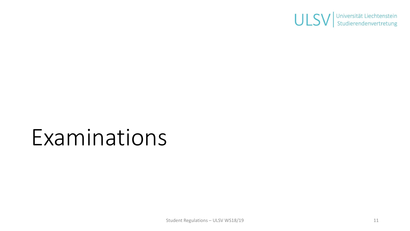

### Examinations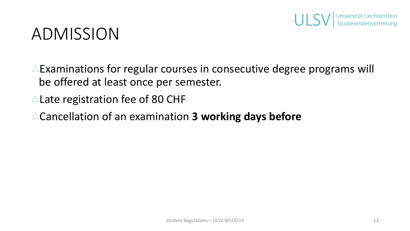

### ADMISSION

- $\triangle$ Examinations for regular courses in consecutive degree programs will be offered at least once per semester.
- $\triangle$  Late registration fee of 80 CHF
- Cancellation of an examination **3 working days before**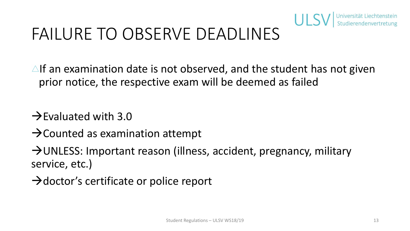

### FAILURE TO OBSERVE DEADLINES

- $\triangle$ If an examination date is not observed, and the student has not given prior notice, the respective exam will be deemed as failed
- $\rightarrow$ Evaluated with 3.0
- $\rightarrow$  Counted as examination attempt
- →UNLESS: Important reason (illness, accident, pregnancy, military service, etc.)
- $\rightarrow$ doctor's certificate or police report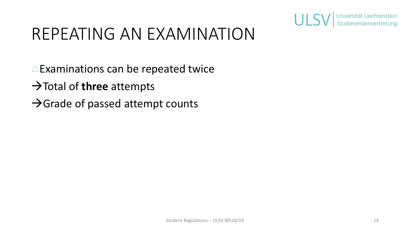

### REPEATING AN EXAMINATION

- $\triangle$ Examinations can be repeated twice
- →Total of **three** attempts
- $\rightarrow$ Grade of passed attempt counts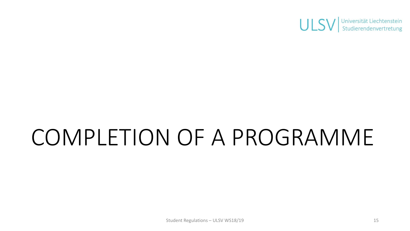

## COMPLETION OF A PROGRAMME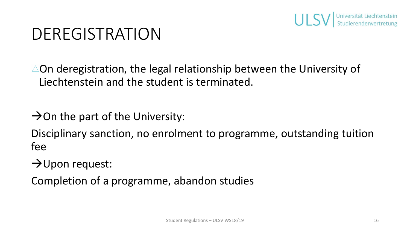

### DEREGISTRATION

 $\triangle$ On deregistration, the legal relationship between the University of Liechtenstein and the student is terminated.

 $\rightarrow$  On the part of the University:

Disciplinary sanction, no enrolment to programme, outstanding tuition fee

 $\rightarrow$ Upon request:

Completion of a programme, abandon studies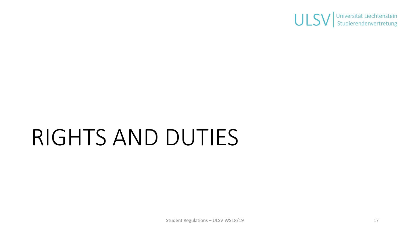

## RIGHTS AND DUTIES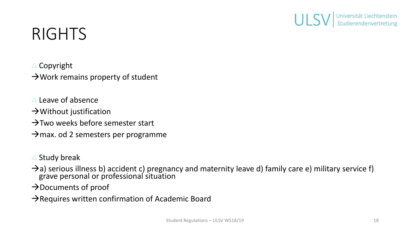

### RIGHTS

 $\triangle$  Copyright

 $\rightarrow$  Work remains property of student

- $\triangle$  Leave of absence
- $\rightarrow$  Without justification
- $\rightarrow$ Two weeks before semester start
- $\rightarrow$ max. od 2 semesters per programme
- $\triangle$  Study break
- $\rightarrow$ a) serious illness b) accident c) pregnancy and maternity leave d) family care e) military service f) grave personal or professional situation
- →Documents of proof
- → Requires written confirmation of Academic Board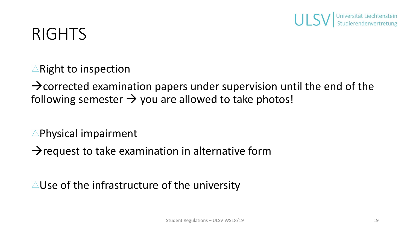

### RIGHTS

 $\triangle$ Right to inspection

 $\rightarrow$  corrected examination papers under supervision until the end of the following semester  $\rightarrow$  you are allowed to take photos!

 $\triangle$ Physical impairment

 $\rightarrow$  request to take examination in alternative form

 $\triangle$ Use of the infrastructure of the university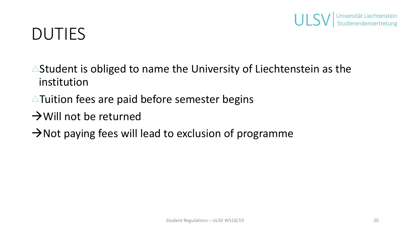

### DUTIES

- $\triangle$ Student is obliged to name the University of Liechtenstein as the institution
- $\triangle$ Tuition fees are paid before semester begins
- $\rightarrow$  Will not be returned
- $\rightarrow$ Not paying fees will lead to exclusion of programme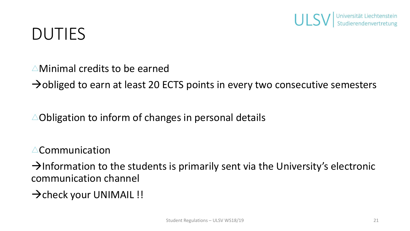

### DUTIES

- $\triangle$ Minimal credits to be earned
- $\rightarrow$ obliged to earn at least 20 ECTS points in every two consecutive semesters
- $\triangle$ Obligation to inform of changes in personal details

 $\triangle$ Communication

 $\rightarrow$ Information to the students is primarily sent via the University's electronic communication channel

→ check your UNIMAIL !!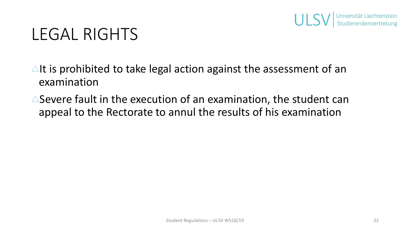

### LEGAL RIGHTS

- $\triangle$ It is prohibited to take legal action against the assessment of an examination
- $\triangle$ Severe fault in the execution of an examination, the student can appeal to the Rectorate to annul the results of his examination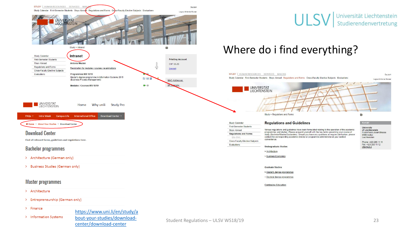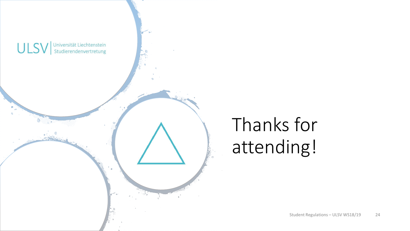

### Thanks for attending!